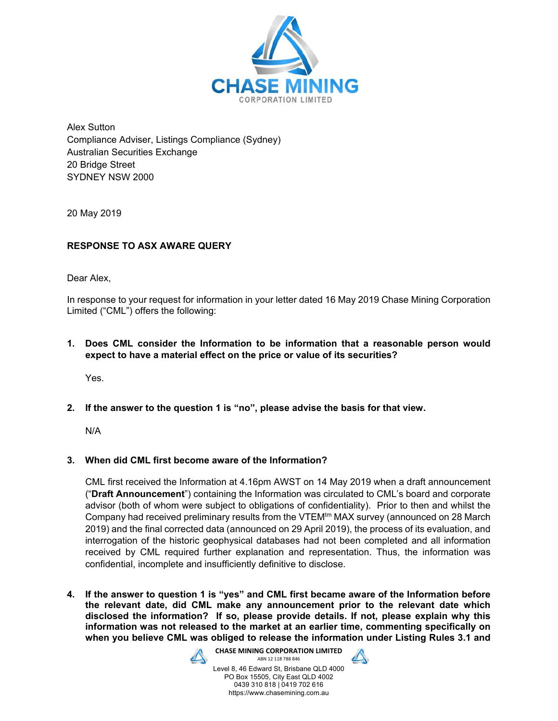

Alex Sutton Compliance Adviser, Listings Compliance (Sydney) Australian Securities Exchange 20 Bridge Street SYDNEY NSW 2000

20 May 2019

# **RESPONSE TO ASX AWARE QUERY**

Dear Alex,

In response to your request for information in your letter dated 16 May 2019 Chase Mining Corporation Limited ("CML") offers the following:

**1. Does CML consider the Information to be information that a reasonable person would expect to have a material effect on the price or value of its securities?** 

Yes.

**2. If the answer to the question 1 is "no", please advise the basis for that view.** 

N/A

# **3. When did CML first become aware of the Information?**

CML first received the Information at 4.16pm AWST on 14 May 2019 when a draft announcement ("**Draft Announcement**") containing the Information was circulated to CML's board and corporate advisor (both of whom were subject to obligations of confidentiality). Prior to then and whilst the Company had received preliminary results from the VTEM<sup>tm</sup> MAX survey (announced on 28 March 2019) and the final corrected data (announced on 29 April 2019), the process of its evaluation, and interrogation of the historic geophysical databases had not been completed and all information received by CML required further explanation and representation. Thus, the information was confidential, incomplete and insufficiently definitive to disclose.

**4. If the answer to question 1 is "yes" and CML first became aware of the Information before the relevant date, did CML make any announcement prior to the relevant date which disclosed the information? If so, please provide details. If not, please explain why this information was not released to the market at an earlier time, commenting specifically on when you believe CML was obliged to release the information under Listing Rules 3.1 and** 



**CHASE MINING CORPORATION LIMITED**  ABN 12 118 788 846 Level 8, 46 Edward St, Brisbane QLD 4000

PO Box 15505, City East QLD 4002 0439 310 818 | 0419 702 616 https://www.chasemining.com.au

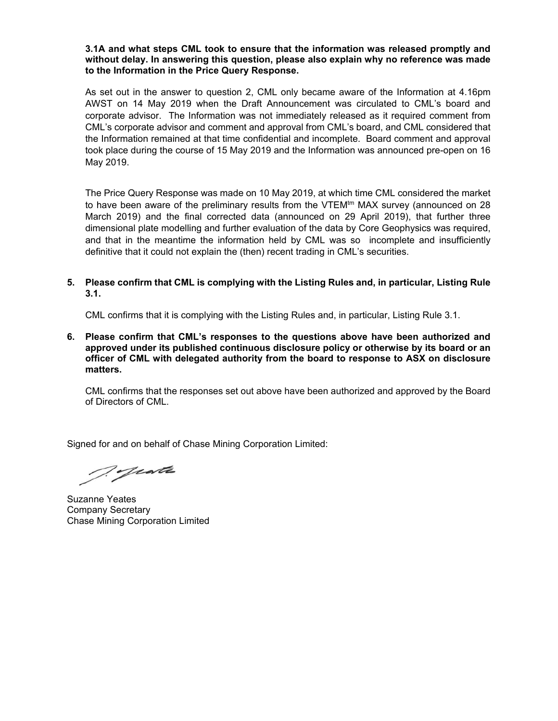## **3.1A and what steps CML took to ensure that the information was released promptly and without delay. In answering this question, please also explain why no reference was made to the Information in the Price Query Response.**

As set out in the answer to question 2, CML only became aware of the Information at 4.16pm AWST on 14 May 2019 when the Draft Announcement was circulated to CML's board and corporate advisor. The Information was not immediately released as it required comment from CML's corporate advisor and comment and approval from CML's board, and CML considered that the Information remained at that time confidential and incomplete. Board comment and approval took place during the course of 15 May 2019 and the Information was announced pre-open on 16 May 2019.

The Price Query Response was made on 10 May 2019, at which time CML considered the market to have been aware of the preliminary results from the VTEM $t<sup>m</sup>$  MAX survey (announced on 28 March 2019) and the final corrected data (announced on 29 April 2019), that further three dimensional plate modelling and further evaluation of the data by Core Geophysics was required, and that in the meantime the information held by CML was so incomplete and insufficiently definitive that it could not explain the (then) recent trading in CML's securities.

# **5. Please confirm that CML is complying with the Listing Rules and, in particular, Listing Rule 3.1.**

CML confirms that it is complying with the Listing Rules and, in particular, Listing Rule 3.1.

**6. Please confirm that CML's responses to the questions above have been authorized and approved under its published continuous disclosure policy or otherwise by its board or an officer of CML with delegated authority from the board to response to ASX on disclosure matters.** 

 CML confirms that the responses set out above have been authorized and approved by the Board of Directors of CML.

Signed for and on behalf of Chase Mining Corporation Limited:

Tyeste

Suzanne Yeates Company Secretary Chase Mining Corporation Limited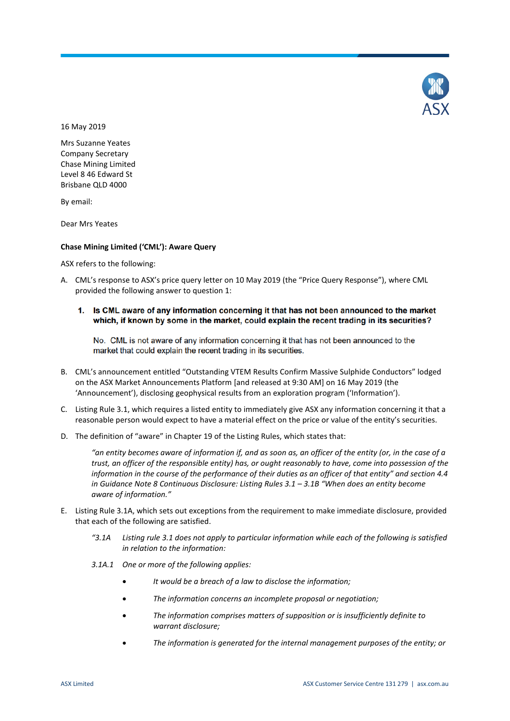

16 May 2019

Mrs Suzanne Yeates Company Secretary Chase Mining Limited Level 8 46 Edward St Brisbane QLD 4000

By email:

Dear Mrs Yeates

#### **Chase Mining Limited ('CML'): Aware Query**

ASX refers to the following:

- A. CML's response to ASX's price query letter on 10 May 2019 (the "Price Query Response"), where CML provided the following answer to question 1:
	- 1. Is CML aware of any information concerning it that has not been announced to the market which, if known by some in the market, could explain the recent trading in its securities?

No. CML is not aware of any information concerning it that has not been announced to the market that could explain the recent trading in its securities.

- B. CML's announcement entitled "Outstanding VTEM Results Confirm Massive Sulphide Conductors" lodged on the ASX Market Announcements Platform [and released at 9:30 AM] on 16 May 2019 (the 'Announcement'), disclosing geophysical results from an exploration program ('Information').
- C. Listing Rule 3.1, which requires a listed entity to immediately give ASX any information concerning it that a reasonable person would expect to have a material effect on the price or value of the entity's securities.
- D. The definition of "aware" in Chapter 19 of the Listing Rules, which states that:

*"an entity becomes aware of information if, and as soon as, an officer of the entity (or, in the case of a trust, an officer of the responsible entity) has, or ought reasonably to have, come into possession of the information in the course of the performance of their duties as an officer of that entity" and section 4.4 in Guidance Note 8 Continuous Disclosure: Listing Rules 3.1 – 3.1B "When does an entity become aware of information."*

- E. Listing Rule 3.1A, which sets out exceptions from the requirement to make immediate disclosure, provided that each of the following are satisfied.
	- *"3.1A Listing rule 3.1 does not apply to particular information while each of the following is satisfied in relation to the information:*
	- *3.1A.1 One or more of the following applies:*
		- *It would be a breach of a law to disclose the information;*
		- *The information concerns an incomplete proposal or negotiation;*
		- *The information comprises matters of supposition or is insufficiently definite to warrant disclosure;*
		- *The information is generated for the internal management purposes of the entity; or*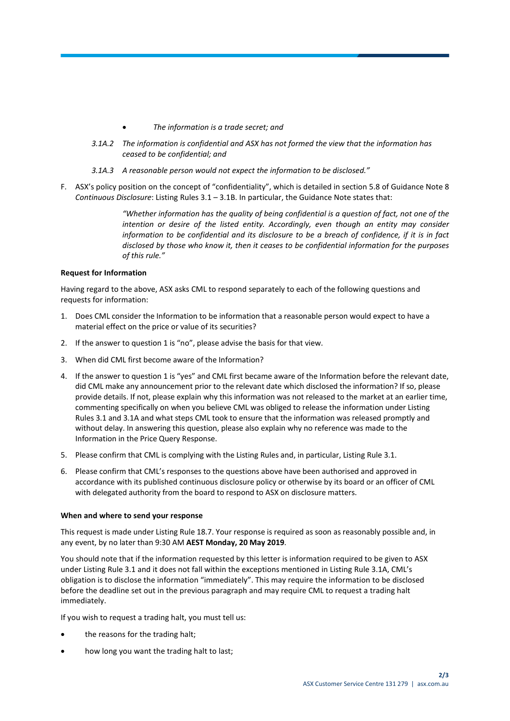- *The information is a trade secret; and*
- *3.1A.2 The information is confidential and ASX has not formed the view that the information has ceased to be confidential; and*
- *3.1A.3 A reasonable person would not expect the information to be disclosed."*
- F. ASX's policy position on the concept of "confidentiality", which is detailed in section 5.8 of Guidance Note 8 *Continuous Disclosure*: Listing Rules 3.1 – 3.1B. In particular, the Guidance Note states that:

*"Whether information has the quality of being confidential is a question of fact, not one of the intention or desire of the listed entity. Accordingly, even though an entity may consider information to be confidential and its disclosure to be a breach of confidence, if it is in fact disclosed by those who know it, then it ceases to be confidential information for the purposes of this rule."*

## **Request for Information**

Having regard to the above, ASX asks CML to respond separately to each of the following questions and requests for information:

- 1. Does CML consider the Information to be information that a reasonable person would expect to have a material effect on the price or value of its securities?
- 2. If the answer to question 1 is "no", please advise the basis for that view.
- 3. When did CML first become aware of the Information?
- 4. If the answer to question 1 is "yes" and CML first became aware of the Information before the relevant date, did CML make any announcement prior to the relevant date which disclosed the information? If so, please provide details. If not, please explain why this information was not released to the market at an earlier time, commenting specifically on when you believe CML was obliged to release the information under Listing Rules 3.1 and 3.1A and what steps CML took to ensure that the information was released promptly and without delay. In answering this question, please also explain why no reference was made to the Information in the Price Query Response.
- 5. Please confirm that CML is complying with the Listing Rules and, in particular, Listing Rule 3.1.
- 6. Please confirm that CML's responses to the questions above have been authorised and approved in accordance with its published continuous disclosure policy or otherwise by its board or an officer of CML with delegated authority from the board to respond to ASX on disclosure matters.

#### **When and where to send your response**

This request is made under Listing Rule 18.7. Your response is required as soon as reasonably possible and, in any event, by no later than 9:30 AM **AEST Monday, 20 May 2019**.

You should note that if the information requested by this letter is information required to be given to ASX under Listing Rule 3.1 and it does not fall within the exceptions mentioned in Listing Rule 3.1A, CML's obligation is to disclose the information "immediately". This may require the information to be disclosed before the deadline set out in the previous paragraph and may require CML to request a trading halt immediately.

If you wish to request a trading halt, you must tell us:

- the reasons for the trading halt;
- how long you want the trading halt to last;